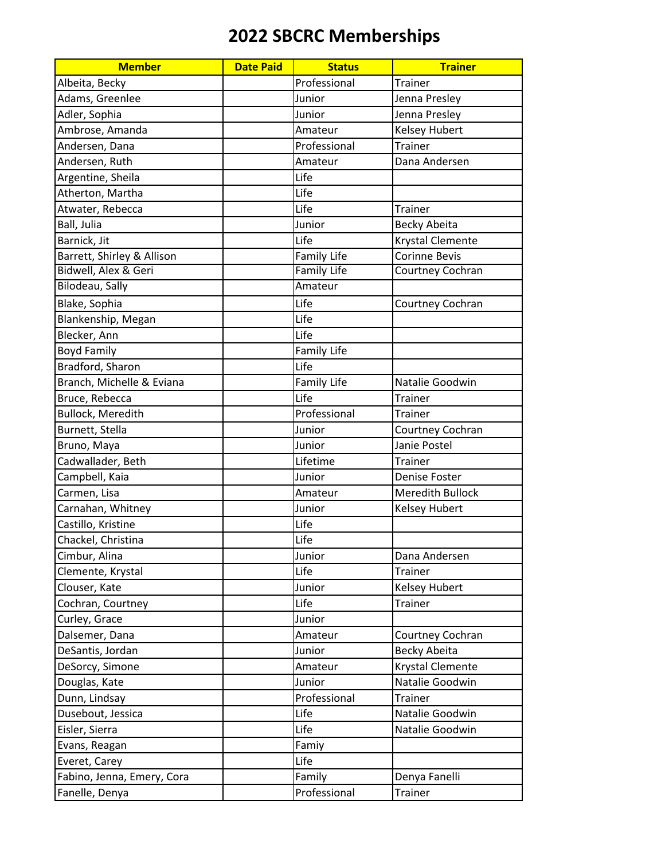| <b>Member</b>              | <b>Date Paid</b> | <b>Status</b>      | <b>Trainer</b>          |
|----------------------------|------------------|--------------------|-------------------------|
| Albeita, Becky             |                  | Professional       | <b>Trainer</b>          |
| Adams, Greenlee            |                  | Junior             | Jenna Presley           |
| Adler, Sophia              |                  | Junior             | Jenna Presley           |
| Ambrose, Amanda            |                  | Amateur            | <b>Kelsey Hubert</b>    |
| Andersen, Dana             |                  | Professional       | Trainer                 |
| Andersen, Ruth             |                  | Amateur            | Dana Andersen           |
| Argentine, Sheila          |                  | Life               |                         |
| Atherton, Martha           |                  | Life               |                         |
| Atwater, Rebecca           |                  | Life               | <b>Trainer</b>          |
| Ball, Julia                |                  | Junior             | <b>Becky Abeita</b>     |
| Barnick, Jit               |                  | Life               | Krystal Clemente        |
| Barrett, Shirley & Allison |                  | <b>Family Life</b> | <b>Corinne Bevis</b>    |
| Bidwell, Alex & Geri       |                  | <b>Family Life</b> | Courtney Cochran        |
| Bilodeau, Sally            |                  | Amateur            |                         |
| Blake, Sophia              |                  | Life               | Courtney Cochran        |
| Blankenship, Megan         |                  | Life               |                         |
| Blecker, Ann               |                  | Life               |                         |
| <b>Boyd Family</b>         |                  | <b>Family Life</b> |                         |
| Bradford, Sharon           |                  | Life               |                         |
| Branch, Michelle & Eviana  |                  | <b>Family Life</b> | Natalie Goodwin         |
| Bruce, Rebecca             |                  | Life               | <b>Trainer</b>          |
| <b>Bullock, Meredith</b>   |                  | Professional       | <b>Trainer</b>          |
| Burnett, Stella            |                  | Junior             | Courtney Cochran        |
| Bruno, Maya                |                  | Junior             | Janie Postel            |
| Cadwallader, Beth          |                  | Lifetime           | <b>Trainer</b>          |
| Campbell, Kaia             |                  | Junior             | Denise Foster           |
| Carmen, Lisa               |                  | Amateur            | Meredith Bullock        |
| Carnahan, Whitney          |                  | Junior             | <b>Kelsey Hubert</b>    |
| Castillo, Kristine         |                  | Life               |                         |
| Chackel, Christina         |                  | Life               |                         |
| Cimbur, Alina              |                  | Junior             | Dana Andersen           |
| Clemente, Krystal          |                  | Life               | <b>Trainer</b>          |
| Clouser, Kate              |                  | Junior             | Kelsey Hubert           |
| Cochran, Courtney          |                  | Life               | <b>Trainer</b>          |
| Curley, Grace              |                  | Junior             |                         |
| Dalsemer, Dana             |                  | Amateur            | Courtney Cochran        |
| DeSantis, Jordan           |                  | Junior             | Becky Abeita            |
| DeSorcy, Simone            |                  | Amateur            | <b>Krystal Clemente</b> |
| Douglas, Kate              |                  | Junior             | Natalie Goodwin         |
| Dunn, Lindsay              |                  | Professional       | <b>Trainer</b>          |
| Dusebout, Jessica          |                  | Life               | Natalie Goodwin         |
| Eisler, Sierra             |                  | Life               | Natalie Goodwin         |
| Evans, Reagan              |                  | Famiy              |                         |
| Everet, Carey              |                  | Life               |                         |
| Fabino, Jenna, Emery, Cora |                  | Family             | Denya Fanelli           |
| Fanelle, Denya             |                  | Professional       | <b>Trainer</b>          |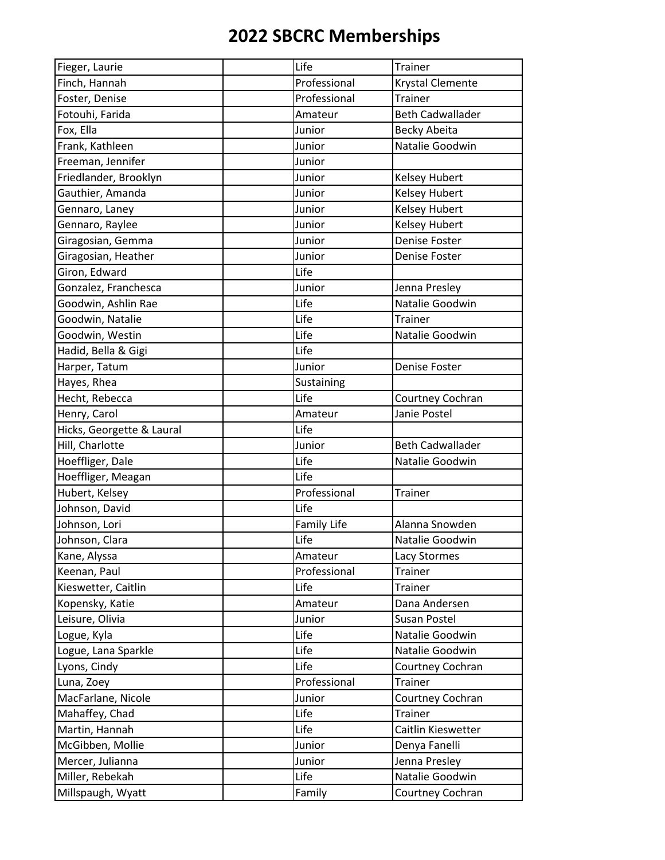| Fieger, Laurie            | Life               | <b>Trainer</b>          |
|---------------------------|--------------------|-------------------------|
| Finch, Hannah             | Professional       | <b>Krystal Clemente</b> |
| Foster, Denise            | Professional       | <b>Trainer</b>          |
| Fotouhi, Farida           | Amateur            | <b>Beth Cadwallader</b> |
| Fox, Ella                 | Junior             | <b>Becky Abeita</b>     |
| Frank, Kathleen           | Junior             | Natalie Goodwin         |
| Freeman, Jennifer         | Junior             |                         |
| Friedlander, Brooklyn     | Junior             | <b>Kelsey Hubert</b>    |
| Gauthier, Amanda          | Junior             | <b>Kelsey Hubert</b>    |
| Gennaro, Laney            | Junior             | <b>Kelsey Hubert</b>    |
| Gennaro, Raylee           | Junior             | <b>Kelsey Hubert</b>    |
| Giragosian, Gemma         | Junior             | <b>Denise Foster</b>    |
| Giragosian, Heather       | Junior             | <b>Denise Foster</b>    |
| Giron, Edward             | Life               |                         |
| Gonzalez, Franchesca      | Junior             | Jenna Presley           |
| Goodwin, Ashlin Rae       | Life               | Natalie Goodwin         |
| Goodwin, Natalie          | Life               | <b>Trainer</b>          |
| Goodwin, Westin           | Life               | Natalie Goodwin         |
| Hadid, Bella & Gigi       | Life               |                         |
| Harper, Tatum             | Junior             | Denise Foster           |
| Hayes, Rhea               | Sustaining         |                         |
| Hecht, Rebecca            | Life               | Courtney Cochran        |
| Henry, Carol              | Amateur            | Janie Postel            |
| Hicks, Georgette & Laural | Life               |                         |
| Hill, Charlotte           | Junior             | <b>Beth Cadwallader</b> |
| Hoeffliger, Dale          | Life               | Natalie Goodwin         |
| Hoeffliger, Meagan        | Life               |                         |
| Hubert, Kelsey            | Professional       | <b>Trainer</b>          |
| Johnson, David            | Life               |                         |
| Johnson, Lori             | <b>Family Life</b> | Alanna Snowden          |
| Johnson, Clara            | Life               | Natalie Goodwin         |
| Kane, Alyssa              | Amateur            | Lacy Stormes            |
| Keenan, Paul              | Professional       | <b>Trainer</b>          |
| Kieswetter, Caitlin       | Life               | <b>Trainer</b>          |
| Kopensky, Katie           | Amateur            | Dana Andersen           |
| Leisure, Olivia           | Junior             | Susan Postel            |
| Logue, Kyla               | Life               | Natalie Goodwin         |
| Logue, Lana Sparkle       | Life               | Natalie Goodwin         |
| Lyons, Cindy              | Life               | Courtney Cochran        |
| Luna, Zoey                | Professional       | Trainer                 |
| MacFarlane, Nicole        | Junior             | Courtney Cochran        |
| Mahaffey, Chad            | Life               | <b>Trainer</b>          |
| Martin, Hannah            | Life               | Caitlin Kieswetter      |
| McGibben, Mollie          | Junior             | Denya Fanelli           |
| Mercer, Julianna          | Junior             | Jenna Presley           |
| Miller, Rebekah           | Life               | Natalie Goodwin         |
| Millspaugh, Wyatt         | Family             | Courtney Cochran        |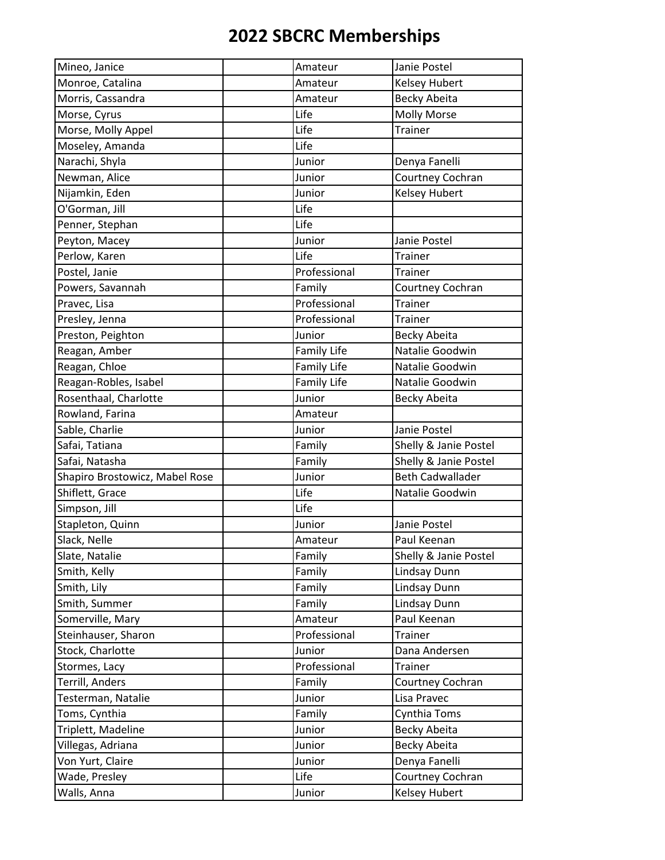| Mineo, Janice                  | Amateur            | Janie Postel            |
|--------------------------------|--------------------|-------------------------|
| Monroe, Catalina               | Amateur            | <b>Kelsey Hubert</b>    |
| Morris, Cassandra              | Amateur            | Becky Abeita            |
| Morse, Cyrus                   | Life               | <b>Molly Morse</b>      |
| Morse, Molly Appel             | Life               | <b>Trainer</b>          |
| Moseley, Amanda                | Life               |                         |
| Narachi, Shyla                 | Junior             | Denya Fanelli           |
| Newman, Alice                  | Junior             | Courtney Cochran        |
| Nijamkin, Eden                 | Junior             | <b>Kelsey Hubert</b>    |
| O'Gorman, Jill                 | Life               |                         |
| Penner, Stephan                | Life               |                         |
| Peyton, Macey                  | Junior             | Janie Postel            |
| Perlow, Karen                  | Life               | <b>Trainer</b>          |
| Postel, Janie                  | Professional       | <b>Trainer</b>          |
| Powers, Savannah               | Family             | Courtney Cochran        |
| Pravec, Lisa                   | Professional       | Trainer                 |
| Presley, Jenna                 | Professional       | <b>Trainer</b>          |
| Preston, Peighton              | Junior             | Becky Abeita            |
| Reagan, Amber                  | <b>Family Life</b> | Natalie Goodwin         |
| Reagan, Chloe                  | <b>Family Life</b> | Natalie Goodwin         |
| Reagan-Robles, Isabel          | <b>Family Life</b> | Natalie Goodwin         |
| Rosenthaal, Charlotte          | Junior             | Becky Abeita            |
| Rowland, Farina                | Amateur            |                         |
| Sable, Charlie                 | Junior             | Janie Postel            |
| Safai, Tatiana                 | Family             | Shelly & Janie Postel   |
| Safai, Natasha                 | Family             | Shelly & Janie Postel   |
| Shapiro Brostowicz, Mabel Rose | Junior             | <b>Beth Cadwallader</b> |
| Shiflett, Grace                | Life               | Natalie Goodwin         |
| Simpson, Jill                  | Life               |                         |
| Stapleton, Quinn               | Junior             | Janie Postel            |
| Slack, Nelle                   | Amateur            | Paul Keenan             |
| Slate, Natalie                 | Family             | Shelly & Janie Postel   |
| Smith, Kelly                   | Family             | Lindsay Dunn            |
| Smith, Lily                    | Family             | Lindsay Dunn            |
| Smith, Summer                  | Family             | Lindsay Dunn            |
| Somerville, Mary               | Amateur            | Paul Keenan             |
| Steinhauser, Sharon            | Professional       | <b>Trainer</b>          |
| Stock, Charlotte               | Junior             | Dana Andersen           |
| Stormes, Lacy                  | Professional       | <b>Trainer</b>          |
| Terrill, Anders                | Family             | Courtney Cochran        |
| Testerman, Natalie             | Junior             | Lisa Pravec             |
| Toms, Cynthia                  | Family             | Cynthia Toms            |
| Triplett, Madeline             | Junior             | <b>Becky Abeita</b>     |
| Villegas, Adriana              | Junior             | Becky Abeita            |
| Von Yurt, Claire               | Junior             | Denya Fanelli           |
| Wade, Presley                  | Life               | Courtney Cochran        |
| Walls, Anna                    | Junior             | Kelsey Hubert           |